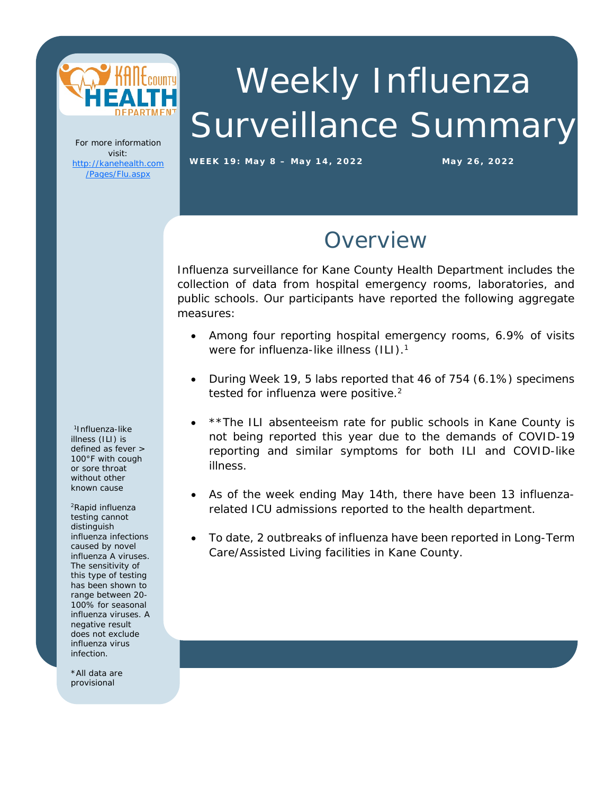

# Weekly Influenza Surveillance Summary

For more information visit: [http://kanehealth.com](http://kanehealth.com/Pages/Flu.aspx) [/Pages/Flu.aspx](http://kanehealth.com/Pages/Flu.aspx)

**WEEK 19: May 8 – May 14, 2022 May 2 6, 2022**

#### Overview

Influenza surveillance for Kane County Health Department includes the collection of data from hospital emergency rooms, laboratories, and public schools. Our participants have reported the following aggregate measures:

- Among four reporting hospital emergency rooms, 6.9% of visits were for influenza-like illness (ILI).<sup>1</sup>
- During Week 19, 5 labs reported that 46 of 754 (6.1%) specimens tested for influenza were positive.<sup>2</sup>
- \*\*The ILI absenteeism rate for public schools in Kane County is not being reported this year due to the demands of COVID-19 reporting and similar symptoms for both ILI and COVID-like illness.
- As of the week ending May 14th, there have been 13 influenzarelated ICU admissions reported to the health department.
- To date, 2 outbreaks of influenza have been reported in Long-Term Care/Assisted Living facilities in Kane County.

1Influenza-like illness (ILI) is defined as fever > 100°F with cough or sore throat without other known cause

2Rapid influenza testing cannot distinguish influenza infections caused by novel influenza A viruses. The sensitivity of this type of testing has been shown to range between 20- 100% for seasonal influenza viruses. A negative result does not exclude influenza virus infection.

í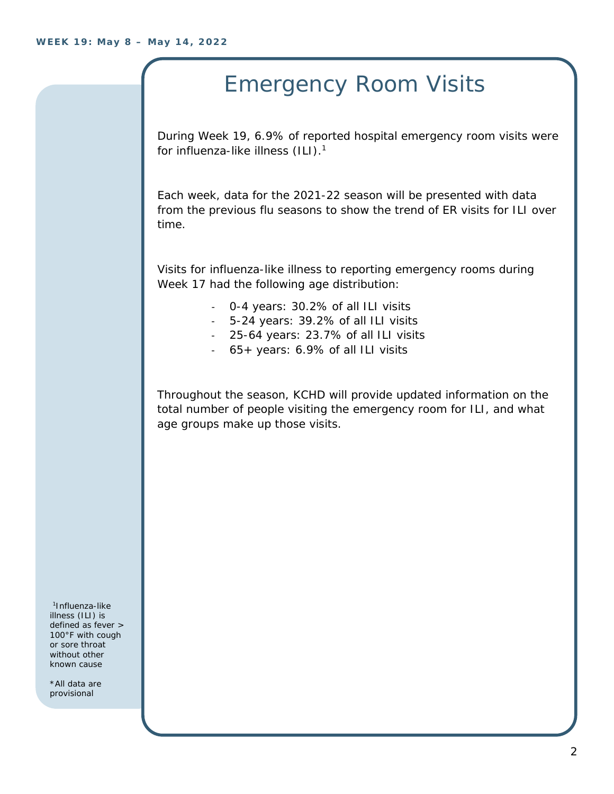## Emergency Room Visits

During Week 19, 6.9% of reported hospital emergency room visits were for influenza-like illness (ILI).<sup>1</sup>

Each week, data for the 2021-22 season will be presented with data from the previous flu seasons to show the trend of ER visits for ILI over time.

Visits for influenza-like illness to reporting emergency rooms during Week 17 had the following age distribution:

- 0-4 years: 30.2% of all ILI visits
- 5-24 years: 39.2% of all ILI visits
- 25-64 years: 23.7% of all ILI visits
- 65+ years: 6.9% of all ILI visits

Throughout the season, KCHD will provide updated information on the total number of people visiting the emergency room for ILI, and what age groups make up those visits.

1Influenza-like illness (ILI) is defined as fever > 100°F with cough or sore throat without other known cause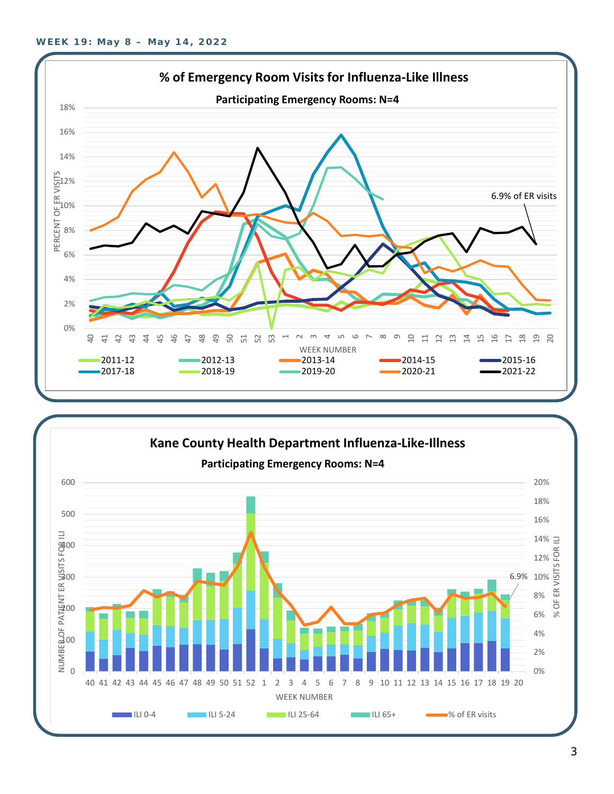

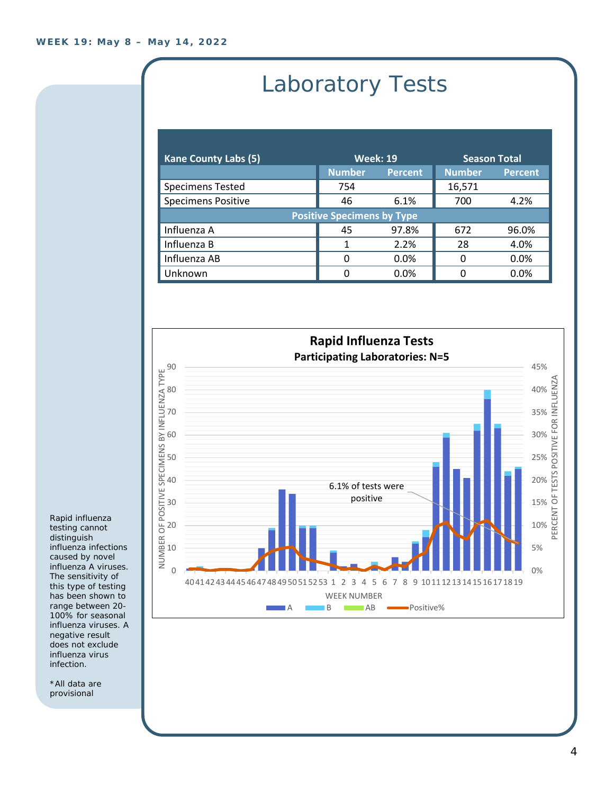# Laboratory Tests

| <b>Kane County Labs (5)</b>       | <b>Week: 19</b> |                | <b>Season Total</b> |                |  |
|-----------------------------------|-----------------|----------------|---------------------|----------------|--|
|                                   | <b>Number</b>   | <b>Percent</b> | <b>Number</b>       | <b>Percent</b> |  |
| <b>Specimens Tested</b>           | 754             |                | 16,571              |                |  |
| <b>Specimens Positive</b>         | 46              | 6.1%           | 700                 | 4.2%           |  |
| <b>Positive Specimens by Type</b> |                 |                |                     |                |  |
| Influenza A                       | 45              | 97.8%          | 672                 | 96.0%          |  |
| Influenza B                       | 1               | 2.2%           | 28                  | 4.0%           |  |
| Influenza AB                      | ∩               | $0.0\%$        | O                   | 0.0%           |  |
| Unknown                           |                 | 0.0%           |                     | 0.0%           |  |



Rapid influenza testing cannot distinguish influenza infections caused by novel influenza A viruses. The sensitivity of this type of testing has been shown to range between 20- 100% for seasonal influenza viruses. A negative result does not exclude influenza virus infection.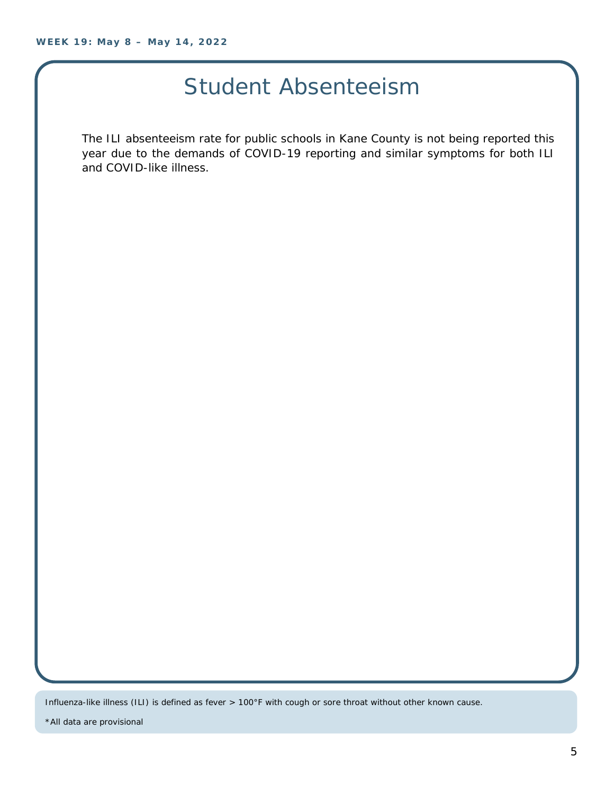### Student Absenteeism

The ILI absenteeism rate for public schools in Kane County is not being reported this year due to the demands of COVID-19 reporting and similar symptoms for both ILI and COVID-like illness.

Influenza-like illness (ILI) is defined as fever > 100°F with cough or sore throat without other known cause.